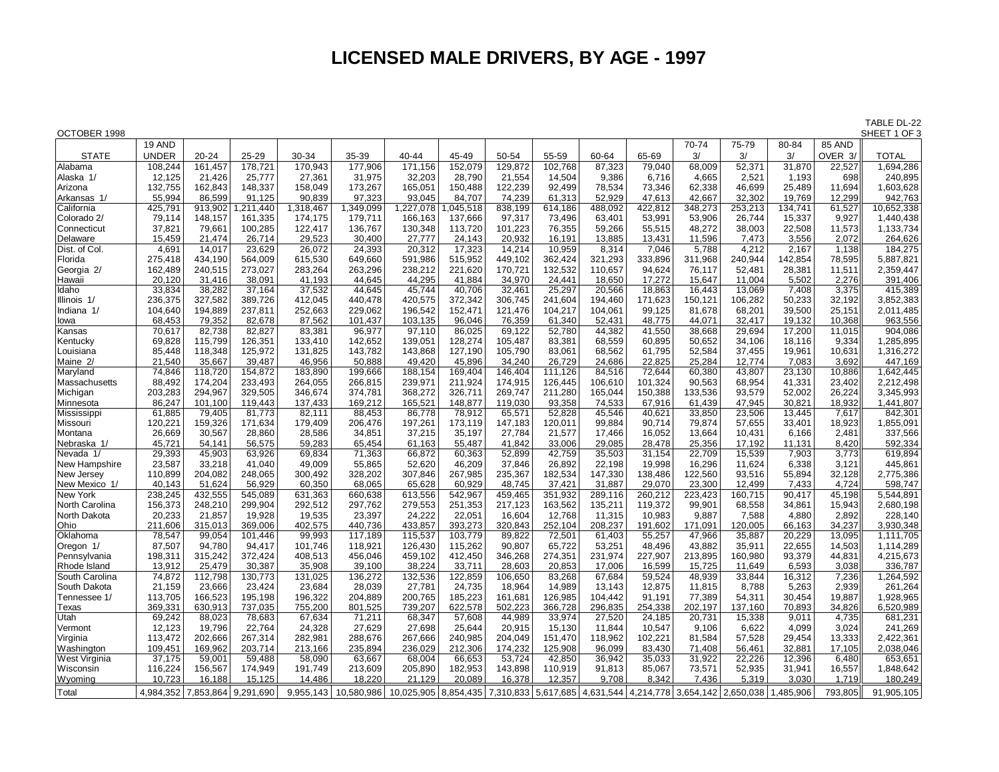## **LICENSED MALE DRIVERS, BY AGE - 1997**

TABLE DL-22<br>SHEET 1 OF 3

| OCTOBER 1998   |                    |                     |          |           |            |                                                                                  |         |         |         |         |         |         |         |           |         | SHEET 1 OF 3         |
|----------------|--------------------|---------------------|----------|-----------|------------|----------------------------------------------------------------------------------|---------|---------|---------|---------|---------|---------|---------|-----------|---------|----------------------|
|                | 19 AND             |                     |          |           |            |                                                                                  |         |         |         |         |         | 70-74   | 75-79   | 80-84     | 85 AND  |                      |
| <b>STATE</b>   | <b>UNDER</b>       | $20 - 24$           | 25-29    | 30-34     | 35-39      | 40-44                                                                            | 45-49   | 50-54   | 55-59   | 60-64   | 65-69   | 3/      | 3/      | 3/        | OVER 3/ | <b>TOTAL</b>         |
| Alabama        | 108,244            | 161,457             | 178,721  | 170,943   | 177,906    | 171,156                                                                          | 152,079 | 129,872 | 102,768 | 87,323  | 79,040  | 68,009  | 52,371  | 31,870    | 22,527  | 1,694,286            |
| Alaska 1/      | 12,125             | 21,426              | 25,777   | 27,361    | 31,975     | 32,203                                                                           | 28,790  | 21,554  | 14,504  | 9,386   | 6,716   | 4,665   | 2,521   | 1,193     | 698     | 240,895              |
| Arizona        | 132,755            | 162,843             | 148,337  | 158,049   | 173,267    | 165,051                                                                          | 150,488 | 122,239 | 92.499  | 78,534  | 73,346  | 62,338  | 46,699  | 25,489    | 11,694  | 1,603,628            |
| Arkansas 1/    | 55,994             | 86,599              | 91,125   | 90,839    | 97,323     | 93,045                                                                           | 84,707  | 74,239  | 61,313  | 52,929  | 47.613  | 42.667  | 32,302  | 19,769    | 12,299  | 942,763              |
| California     | 425,791            | 913,902             | ,211,440 | 1,318,467 | 1,349,099  | 1,227,078                                                                        | 045,518 | 838,199 | 614,186 | 488,092 | 422,812 | 348,273 | 253,213 | 134,741   | 61,527  | 10,652,338           |
| Colorado 2/    | 79,114             | 148,157             | 161,335  | 174,175   | 179,711    | 166,163                                                                          | 137,666 | 97,317  | 73,496  | 63,401  | 53,991  | 53,906  | 26,744  | 15,337    | 9,927   | 1,440,438            |
| Connecticut    |                    |                     |          |           |            |                                                                                  |         |         |         |         |         | 48,272  |         |           |         |                      |
|                | 37,821             | 79,661              | 100,285  | 122,417   | 136,767    | 130,348                                                                          | 113,720 | 101,223 | 76,355  | 59,266  | 55,515  |         | 38,003  | 22,508    | 11,573  | 1,133,734            |
| Delaware       | 15,459             | 21,474              | 26,714   | 29,523    | 30,400     | 27,777                                                                           | 24,143  | 20,932  | 16,191  | 13,885  | 13,431  | 11,596  | 7,473   | 3,556     | 2,072   | 264,626              |
| Dist. of Col.  | 4,691              | 14,017              | 23,629   | 26,072    | 24,393     | 20,312                                                                           | 17,323  | 14,214  | 10,959  | 8,314   | 7,046   | 5,788   | 4,212   | 2,167     | 1,138   | 184,275              |
| Florida        | 275,418            | 434,190             | 564,009  | 615,530   | 649,660    | 591,986                                                                          | 515,952 | 449,102 | 362,424 | 321,293 | 333,896 | 311,968 | 240,944 | 142,854   | 78,595  | 5,887,821            |
| Georgia 2/     | 162,489            | 240,515             | 273,027  | 283,264   | 263,296    | 238,212                                                                          | 221,620 | 170,721 | 132,532 | 110,657 | 94,624  | 76,117  | 52,481  | 28,381    | 11,511  | 2,359,447            |
| Hawaii         | 20,120             | 31,416              | 38,091   | 41,193    | 44,645     | 44,295                                                                           | 41.884  | 34,970  | 24,441  | 18,650  | 17,272  | 15,647  | 11,004  | 5,502     | 2,276   | 391,406              |
| ldaho          | 33,834             | 38,282              | 37,164   | 37,532    | 44,645     | 45,744                                                                           | 40,706  | 32,461  | 25,297  | 20,566  | 18,863  | 16,443  | 13,069  | 7,408     | 3,375   | 415,389              |
| Illinois 1/    | 236,375            | 327,582             | 389,726  | 412,045   | 440,478    | 420,575                                                                          | 372,342 | 306,745 | 241,604 | 194,460 | 171,623 | 150,121 | 106,282 | 50,233    | 32,192  | 3,852,383            |
| Indiana 1/     | 104,640            | 194,889             | 237,811  | 252,663   | 229,062    | 196,542                                                                          | 152,471 | 121,476 | 104,217 | 104,061 | 99,125  | 81,678  | 68,201  | 39,500    | 25,151  | 2,011,485            |
| lowa           | 68,453             | 79,352              | 82,678   | 87,562    | 101,437    | 103,135                                                                          | 96,046  | 76,359  | 61,340  | 52,431  | 48,775  | 44,071  | 32,417  | 19,132    | 10,368  | 963,556              |
| Kansas         | 70,617             | 82,738              | 82,827   | 83,381    | 96,977     | 97,110                                                                           | 86,025  | 69,122  | 52,780  | 44,382  | 41,550  | 38,668  | 29,694  | 17,200    | 11,015  | 904,086              |
| Kentucky       | 69,828             | 115,799             | 126,351  | 133,410   | 142,652    | 139,051                                                                          | 128,274 | 105,487 | 83,381  | 68,559  | 60,895  | 50,652  | 34,106  | 18,116    | 9,334   | 1,285,895            |
| Louisiana      | 85,448             | 118,348             | 125,972  | 131,825   | 143,782    | 143,868                                                                          | 127,190 | 105,790 | 83.061  | 68,562  | 61,795  | 52,584  | 37,455  | 19,961    | 10,631  | 1,316,272            |
| Maine 2/       | 21,540             | 35,667              | 39,487   | 46,956    | 50,888     | 49,420                                                                           | 45,896  | 34,240  | 26,729  | 24,686  | 22,825  | 25,284  | 12,774  | 7,083     | 3,692   | 447,169              |
| Maryland       | 74,846             | 118,720             | 154,872  | 183,890   | 199,666    | 188,154                                                                          | 169,404 | 146,404 | 111,126 | 84,516  | 72,644  | 60,380  | 43,807  | 23,130    | 10,886  | 1,642,445            |
| Massachusetts  | 88,492             | 174,204             | 233,493  | 264,055   | 266,815    | 239,971                                                                          | 211,924 | 174,915 | 126,445 | 106,610 | 101,324 | 90,563  | 68,954  | 41,331    | 23,402  | 2,212,498            |
| Michigan       | 203,283            | 294,967             | 329,505  | 346,674   | 374,781    | 368,272                                                                          | 326,711 | 269,747 | 211,280 | 165,044 | 150,388 | 133,536 | 93,579  | 52,002    | 26,224  | 3,345,993            |
| Minnesota      | 86,247             | 101,100             | 119,443  | 137,433   | 169,212    | 165,521                                                                          | 148,877 | 119,030 | 93,358  | 74,533  | 67,916  | 61,439  | 47,945  | 30,821    | 18,932  | 1,441,807            |
| Mississippi    | 61,885             | 79,405              | 81,773   | 82,111    | 88,453     | 86,778                                                                           | 78,912  | 65,571  | 52,828  | 45,546  | 40,621  | 33,850  | 23,506  | 13,445    | 7,617   | 842,301              |
| Missouri       | 120,221            | 159,326             | 171,634  | 179,409   | 206,476    | 197,261                                                                          | 173,119 | 147,183 | 120,011 | 99,884  | 90,714  | 79,874  | 57,655  | 33,401    | 18,923  | 1,855,091            |
| Montana        | 26,669             | 30,567              | 28,860   | 28,586    | 34,851     | 37,215                                                                           | 35,197  | 27,784  | 21,577  | 17,466  | 16,052  | 13,664  | 10,431  | 6,166     | 2,481   | 337,566              |
| Nebraska 1/    | 45,721             | 54,141              | 56,575   | 59,283    | 65,454     | 61,163                                                                           | 55,487  | 41,842  | 33,006  | 29,085  | 28,478  | 25,356  | 17,192  | 11,131    | 8,420   | 592,334              |
| Nevada 1/      | 29,393             | 45,903              | 63,926   | 69,834    | 71,363     | 66,872                                                                           | 60,363  | 52,899  | 42,759  | 35,503  | 31,154  | 22,709  | 15,539  | 7,903     | 3,773   | 619,894              |
| New Hampshire  | 23,587             | 33,218              | 41,040   | 49,009    | 55,865     | 52,620                                                                           | 46,209  | 37,846  | 26,892  | 22,198  | 19,998  | 16,296  | 11,624  | 6,338     | 3,121   | 445,861              |
| New Jersey     | 110,899            | 204,082             | 248,065  | 300,492   | 328,202    | 307,846                                                                          | 267,985 | 235,367 | 182,534 | 147,330 | 138,486 | 122,560 | 93,516  | 55,894    | 32,128  | 2,775,386            |
| New Mexico 1/  | 40,143             | 51,624              | 56,929   | 60.350    | 68,065     | 65,628                                                                           | 60,929  | 48.745  | 37,421  | 31,887  | 29,070  | 23,300  | 12,499  | 7,433     | 4,724   | 598,747              |
| New York       | 238,245            | 432,555             | 545,089  | 631,363   | 660,638    | 613,556                                                                          | 542,967 | 459,465 | 351,932 | 289,116 | 260,212 | 223,423 | 160,715 | 90,417    | 45,198  | 5,544,891            |
| North Carolina | 156,373            | 248,210             | 299,904  | 292,512   | 297,762    | 279,553                                                                          | 251,353 | 217,123 | 163,562 | 135,211 | 119,372 | 99,901  | 68,558  | 34,861    | 15,943  | 2,680,198            |
| North Dakota   | 20,233             | 21,857              | 19,928   | 19,535    | 23,397     | 24,222                                                                           | 22,051  | 16,604  | 12,768  | 11,315  | 10,983  | 9,887   | 7,588   | 4,880     | 2,892   | 228,140              |
| Ohio           | 211,606            | 315,013             | 369,006  | 402,575   | 440,736    | 433,857                                                                          | 393,273 | 320,843 | 252,104 | 208,237 | 191,602 | 171,091 | 120,005 | 66,163    | 34,237  | 3,930,348            |
| Oklahoma       | 78,547             | 99,054              | 101,446  | 99,993    | 117,189    | 115,537                                                                          | 103,779 | 89,822  | 72,501  | 61,403  | 55,257  | 47,966  | 35,887  | 20,229    | 13,095  | 1,111,705            |
| Oregon 1/      | 87,507             | 94,780              | 94,417   | 101,746   | 118,921    | 126,430                                                                          | 115,262 | 90,807  | 65,722  | 53,251  | 48,496  | 43,882  | 35,911  | 22,655    | 14,503  | 1,114,289            |
| Pennsylvania   | 198,311            | 315,242             | 372,424  | 408,513   | 456,046    | 459,102                                                                          | 412,450 | 346,268 | 274,351 | 231,974 | 227,907 | 213,895 | 160,980 | 93,379    | 44,831  | 4,215,673            |
| Rhode Island   | 13,912             | 25,479              | 30,387   | 35,908    | 39,100     | 38,224                                                                           | 33,711  | 28,603  | 20,853  | 17,006  | 16,599  | 15,725  | 11,649  | 6,593     | 3,038   | 336,787              |
| South Carolina | 74,872             | 112,798             | 130,773  | 131,025   | 136,272    | 132,536                                                                          | 122,859 | 106,650 | 83,268  | 67,684  | 59,524  | 48,939  | 33,844  | 16,312    | 7,236   | 1,264,592            |
| South Dakota   | 21,159             | 23,666              | 23,424   | 23,684    | 28,039     |                                                                                  | 24,735  | 18,964  | 14.989  | 13.143  | 12,875  | 11,815  | 8,788   | 5,263     | 2,939   |                      |
|                |                    | 166,523             | 195,198  |           | 204,889    | 27,781<br>200,765                                                                | 185,223 | 161,681 | 126,985 | 104,442 | 91,191  | 77,389  | 54,311  | 30,454    | 19,887  | 261,264<br>1,928,965 |
| Tennessee 1/   | 113,705<br>369,331 | 630,913             |          | 196,322   | 801,525    | 739,207                                                                          | 622,578 |         |         |         |         |         |         |           |         | 6,520,989            |
| Texas          |                    |                     | 737,035  | 755,200   |            |                                                                                  |         | 502,223 | 366,728 | 296,835 | 254,338 | 202,197 | 137,160 | 70,893    | 34,826  |                      |
| Utah           | 69,242             | 88,023              | 78,683   | 67,634    | 71,211     | 68,347                                                                           | 57,608  | 44,989  | 33,974  | 27,520  | 24,185  | 20,731  | 15,338  | 9,011     | 4,735   | 681,231              |
| Vermont        | 12,123             | 19,796              | 22,764   | 24,328    | 27,629     | 27,698                                                                           | 25,644  | 20,915  | 15,130  | 11,844  | 10,547  | 9,106   | 6,622   | 4,099     | 3,024   | 241,269              |
| Virginia       | 113,472            | 202,666             | 267,314  | 282,981   | 288,676    | 267,666                                                                          | 240,985 | 204,049 | 151,470 | 118,962 | 102,221 | 81,584  | 57,528  | 29,454    | 13,333  | 2,422,361            |
| Washington     | 109,451            | 169,962             | 203,714  | 213,166   | 235,894    | 236,029                                                                          | 212,306 | 174,232 | 125,908 | 96,099  | 83,430  | 71,408  | 56,461  | 32,881    | 17,105  | 2,038,046            |
| West Virginia  | 37,175             | 59,001              | 59,488   | 58,090    | 63,667     | 68,004                                                                           | 66,653  | 53,724  | 42,850  | 36,942  | 35,033  | 31,922  | 22,226  | 12,396    | 6,480   | 653,651              |
| Wisconsin      | 116,224            | 156,567             | 174,949  | 191,749   | 213,609    | 205,890                                                                          | 182,953 | 143,898 | 110,919 | 91,813  | 85,067  | 73,571  | 52,935  | 31,941    | 16,557  | 1,848,642            |
| <b>Wyoming</b> | 10.723             | 16,188              | 15,125   | 14,486    | 18,220     | 21,129                                                                           | 20,089  | 16,378  | 12,357  | 9,708   | 8,342   | 7,436   | 5,319   | 3,030     | 1,719   | 180,249              |
| Total          | 4.984.352          | 7,853,864 9,291,690 |          | 9.955.143 | 10.580.986 | 10,025,905 8,854,435 7,310,833 5,617,685 4,631,544 4,214,778 3,654,142 2,650,038 |         |         |         |         |         |         |         | 1.485.906 | 793,805 | 91,905,105           |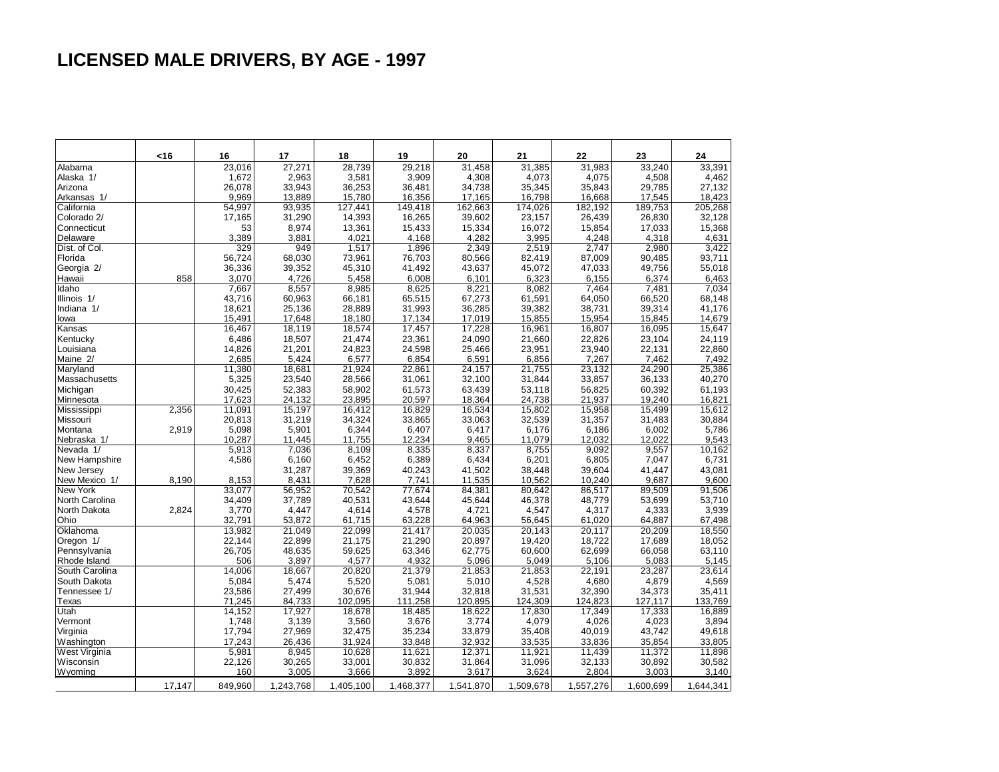# **LICENSED MALE DRIVERS, BY AGE - 1997**

|                | <16    | 16            | 17              | 18              | 19              | 20              | 21              | 22              | 23              | 24        |
|----------------|--------|---------------|-----------------|-----------------|-----------------|-----------------|-----------------|-----------------|-----------------|-----------|
| Alabama        |        | 23,016        | 27,271          | 28,739          | 29,218          | 31,458          | 31,385          | 31,983          | 33,240          | 33,391    |
| Alaska 1/      |        | 1.672         | 2,963           | 3,581           | 3.909           | 4,308           | 4,073           | 4,075           | 4.508           | 4,462     |
| Arizona        |        | 26,078        | 33,943          | 36,253          | 36,481          | 34,738          | 35,345          | 35,843          | 29,785          | 27,132    |
| Arkansas 1/    |        | 9.969         | 13,889          | 15,780          | 16,356          | 17,165          | 16,798          | 16,668          | 17,545          | 18,423    |
| California     |        | 54,997        | 93,935          | 127,441         | 149,418         | 162,663         | 174,026         | 182,192         | 189,753         | 205,268   |
| Colorado 2/    |        | 17,165        | 31,290          | 14,393          | 16,265          | 39,602          | 23,157          | 26,439          | 26,830          | 32,128    |
| Connecticut    |        | 53            | 8,974           | 13,361          | 15,433          | 15,334          | 16,072          | 15,854          | 17,033          | 15,368    |
| Delaware       |        | 3,389         | 3,881           | 4,021           | 4,168           | 4,282           | 3,995           | 4,248           | 4,318           | 4,631     |
| Dist. of Col.  |        | 329           | 949             | 1,517           | 1,896           | 2,349           | 2,519           | 2,747           | 2,980           | 3,422     |
| Florida        |        | 56,724        | 68,030          | 73,961          | 76,703          | 80,566          | 82,419          | 87,009          | 90,485          | 93,711    |
| Georgia 2/     |        | 36,336        | 39,352          | 45,310          | 41,492          | 43,637          | 45,072          | 47,033          | 49,756          | 55,018    |
| Hawaii         | 858    | 3,070         | 4,726           | 5,458           | 6,008           | 6,101           | 6,323           | 6,155           | 6,374           | 6,463     |
| Idaho          |        | 7,667         | 8,557           | 8,985           | 8,625           | 8,221           | 8,082           | 7,464           | 7,481           | 7,034     |
| Illinois 1/    |        | 43,716        | 60,963          | 66,181          | 65,515          | 67,273          | 61,591          | 64,050          | 66,520          | 68,148    |
| Indiana 1/     |        | 18,621        | 25,136          | 28,889          | 31,993          | 36,285          | 39,382          | 38,731          | 39,314          | 41,176    |
| lowa           |        | 15,491        | 17,648          | 18,180          | 17,134          | 17,019          | 15,855          | 15,954          | 15,845          | 14,679    |
| Kansas         |        | 16,467        | 18,119          | 18,574          | 17,457          | 17,228          | 16,961          | 16,807          | 16,095          | 15,647    |
| Kentucky       |        | 6,486         | 18,507          | 21,474          | 23,361          | 24,090          | 21,660          | 22,826          | 23,104          | 24,119    |
| Louisiana      |        | 14,826        | 21,201          | 24,823          | 24,598          | 25,466          | 23,951          | 23,940          | 22,131          | 22,860    |
| Maine 2/       |        | 2,685         | 5,424           | 6,577           | 6,854           | 6,591           | 6,856           | 7,267           | 7,462           | 7,492     |
| Maryland       |        | 11,380        | 18,681          | 21,924          | 22,861          | 24,157          | 21,755          | 23,132          | 24,290          | 25,386    |
| Massachusetts  |        | 5,325         | 23,540          | 28,566          | 31,061          | 32,100          | 31,844          | 33,857          | 36,133          | 40,270    |
| Michigan       |        | 30.425        | 52,383          | 58,902          | 61,573          | 63,439          | 53,118          | 56,825          | 60,392          | 61,193    |
| Minnesota      |        | 17,623        | 24,132          | 23,895          | 20,597          | 18,364          | 24,738          | 21,937          | 19,240          | 16,821    |
| Mississippi    | 2,356  | 11,091        | 15,197          | 16,412          | 16,829          | 16,534          | 15,802          | 15,958          | 15,499          | 15,612    |
| Missouri       |        | 20,813        | 31,219          | 34,324          | 33,865          | 33,063          | 32,539          | 31,357          | 31,483          | 30,884    |
| Montana        | 2,919  | 5,098         | 5,901           | 6,344           | 6,407           | 6,417           | 6,176           | 6,186           | 6,002           | 5,786     |
| Nebraska 1/    |        | 10,287        | 11,445          | 11,755          | 12,234          | 9,465           | 11,079          | 12,032          | 12,022          | 9,543     |
| Nevada 1/      |        | 5,913         | 7,036           | 8,109           | 8,335           | 8,337           | 8,755           | 9,092           | 9,557           | 10,162    |
| New Hampshire  |        | 4,586         | 6,160           | 6,452           | 6,389           | 6,434           | 6,201           | 6,805           | 7,047           | 6,731     |
| New Jersey     |        |               | 31,287          | 39,369          | 40,243          | 41,502          | 38,448          | 39,604          | 41,447          | 43,081    |
| New Mexico 1/  | 8,190  | 8,153         | 8,431           | 7,628           | 7,741           | 11,535          | 10,562          | 10,240          | 9,687           | 9,600     |
| New York       |        | 33,077        | 56,952          | 70,542          | 77,674          | 84,381          | 80,642          | 86,517          | 89,509          | 91,506    |
| North Carolina |        | 34,409        | 37,789          | 40,531          | 43,644          | 45,644          | 46,378          | 48,779          | 53,699          | 53,710    |
| North Dakota   | 2,824  | 3,770         | 4,447           | 4,614           | 4,578           | 4,721           | 4,547           | 4,317           | 4,333           | 3,939     |
| Ohio           |        | 32,791        | 53,872          | 61,715          | 63,228          | 64,963          | 56,645          | 61,020          | 64,887          | 67,498    |
| Oklahoma       |        | 13,982        | 21,049          | 22,099          | 21,417          | 20,035          | 20,143          | 20,117          | 20,209          | 18,550    |
| Oregon 1/      |        | 22.144        | 22,899          | 21,175          | 21,290          | 20,897          | 19,420          | 18,722          | 17,689          | 18,052    |
| Pennsylvania   |        | 26,705        | 48,635          | 59,625          | 63,346          | 62,775          | 60,600          | 62,699          | 66,058          | 63,110    |
| Rhode Island   |        | 506           | 3,897           | 4,577           | 4,932           | 5,096           | 5,049           | 5,106           | 5,083           | 5,145     |
| South Carolina |        | 14,006        | 18,667          | 20,820          | 21,379          | 21,853          | 21,853          | 22,191          | 23,287          | 23,614    |
| South Dakota   |        | 5,084         | 5,474           | 5,520           | 5,081           | 5,010           | 4,528           | 4,680           | 4,879           | 4,569     |
| Tennessee 1/   |        | 23,586        | 27,499          | 30,676          | 31,944          | 32,818          | 31,531          | 32,390          | 34,373          | 35,411    |
| Texas          |        | 71,245        | 84,733          | 102,095         | 111,258         | 120,895         | 124,309         | 124,823         | 127,117         | 133,769   |
| Utah           |        | 14,152        | 17,927          | 18,678          | 18,485          | 18,622          | 17,830          | 17,349          | 17,333          | 16,889    |
| Vermont        |        | 1,748         | 3,139           | 3,560           | 3,676           | 3,774           | 4,079           | 4,026           | 4,023           | 3,894     |
| Virginia       |        | 17,794        | 27,969          | 32,475          | 35,234          | 33,879          | 35,408          | 40,019          | 43,742          | 49,618    |
| Washington     |        | 17,243        | 26,436          | 31,924          | 33,848          | 32,932          | 33,535          | 33,836          | 35,854          | 33,805    |
|                |        |               | 8,945           | 10,628          | 11,621          | 12,371          | 11,921          | 11,439          | 11,372          | 11,898    |
| West Virginia  |        | 5,981         |                 |                 |                 |                 |                 |                 |                 | 30,582    |
| Wisconsin      |        | 22,126<br>160 | 30,265<br>3,005 | 33,001<br>3,666 | 30,832<br>3,892 | 31,864<br>3,617 | 31,096<br>3,624 | 32,133<br>2,804 | 30,892<br>3,003 | 3,140     |
| Wyoming        |        |               |                 |                 |                 |                 |                 |                 |                 |           |
|                | 17,147 | 849,960       | 1,243,768       | 1,405,100       | 1,468,377       | 1,541,870       | 1,509,678       | 1,557,276       | 1,600,699       | 1,644,341 |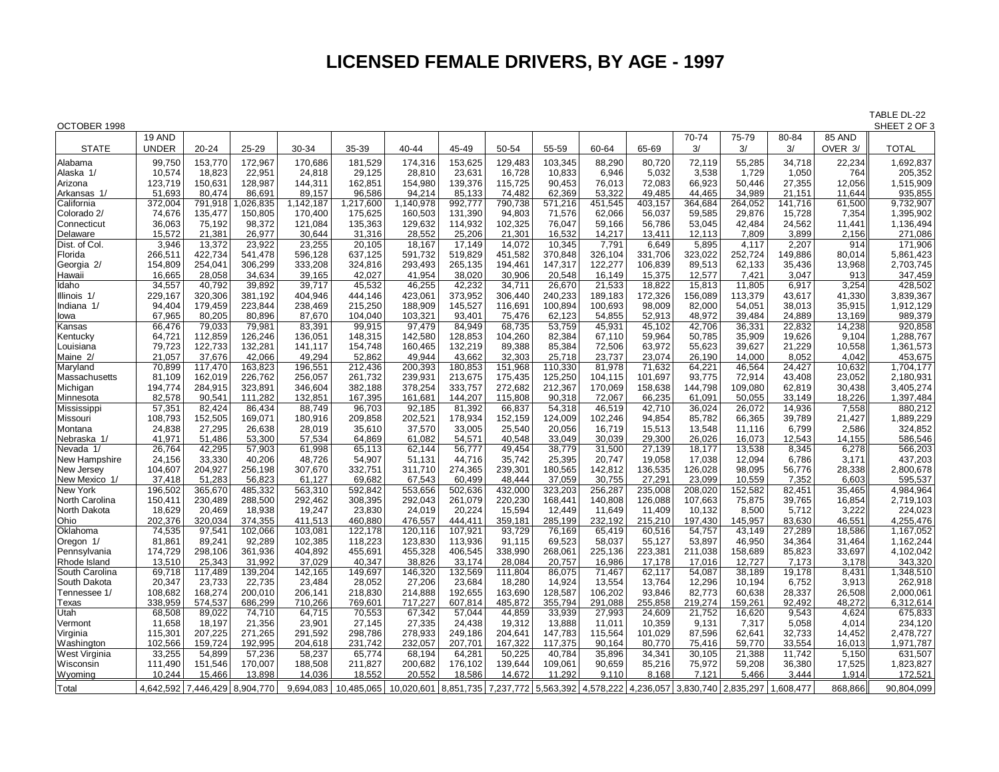## **LICENSED FEMALE DRIVERS, BY AGE - 1997**

| OCTOBER 1998         |                  |           |                   |                   |            |                                                    |         |                   |                   |                 |                 |                 |                               |                 |               | SHEET 2 OF 3 |
|----------------------|------------------|-----------|-------------------|-------------------|------------|----------------------------------------------------|---------|-------------------|-------------------|-----------------|-----------------|-----------------|-------------------------------|-----------------|---------------|--------------|
|                      | 19 AND           |           |                   |                   |            |                                                    |         |                   |                   |                 |                 | 70-74           | 75-79                         | 80-84           | 85 AND        |              |
| <b>STATE</b>         | <b>UNDER</b>     | 20-24     | $25 - 29$         | 30-34             | 35-39      | 40-44                                              | 45-49   | 50-54             | 55-59             | 60-64           | 65-69           | 3/              | 3/                            | 3/              | OVER 3/       | TOTAL        |
|                      |                  |           |                   |                   |            |                                                    |         |                   |                   |                 |                 |                 |                               |                 |               | 1,692,837    |
| Alabama<br>Alaska 1/ | 99,750<br>10,574 | 153,770   | 172,967<br>22,951 | 170,686<br>24,818 | 181,529    | 174,316                                            | 153,625 | 129,483<br>16,728 | 103,345<br>10,833 | 88,290<br>6,946 | 80,720<br>5,032 | 72,119<br>3,538 | 55,285<br>1,729               | 34,718<br>1,050 | 22,234<br>764 | 205,352      |
|                      |                  | 18,823    |                   |                   | 29,125     | 28,810                                             | 23,631  |                   |                   |                 |                 |                 |                               |                 |               |              |
| Arizona              | 123,719          | 150,631   | 128,987           | 144,311           | 162,851    | 154,980                                            | 139,376 | 115,725           | 90,453            | 76,013          | 72,083          | 66,923          | 50,446                        | 27,355          | 12,056        | 1,515,909    |
| Arkansas 1/          | 51,693           | 80,474    | 86,691            | 89,157            | 96,586     | 94,214                                             | 85,133  | 74,482            | 62,369            | 53,322          | 49,485          | 44,465          | 34,989                        | 21,151          | 11,644        | 935,855      |
| California           | 372,004          | 791,918   | ,026,835          | 1,142,187         | 1,217,600  | 1,140,978                                          | 992,777 | 790,738           | 571,216           | 451,545         | 403,157         | 364,684         | 264,052                       | 141,716         | 61,500        | 9,732,907    |
| Colorado 2/          | 74,676           | 135,477   | 150,805           | 170,400           | 175,625    | 160,503                                            | 131,390 | 94,803            | 71,576            | 62,066          | 56,037          | 59,585          | 29,876                        | 15,728          | 7,354         | 1,395,902    |
| Connecticut          | 36,063           | 75,192    | 98,372            | 121,084           | 135,363    | 129,632                                            | 114,932 | 102,325           | 76,047            | 59,166          | 56,786          | 53,045          | 42,484                        | 24,562          | 11,441        | 1,136,494    |
| Delaware             | 15,572           | 21,381    | 26,977            | 30,644            | 31,316     | 28,552                                             | 25,206  | 21,301            | 16,532            | 14,217          | 13,411          | 12,113          | 7,809                         | 3,899           | 2,156         | 271,086      |
| Dist. of Col.        | 3,946            | 13,372    | 23,922            | 23,255            | 20,105     | 18,167                                             | 17,149  | 14,072            | 10,345            | 7,791           | 6,649           | 5,895           | 4,117                         | 2,207           | 914           | 171,906      |
| Florida              | 266,511          | 422,734   | 541,478           | 596,128           | 637,125    | 591,732                                            | 519,829 | 451,582           | 370,848           | 326,104         | 331,706         | 323,022         | 252,724                       | 149,886         | 80,014        | 5,861,423    |
| Georgia 2/           | 154,809          | 254,041   | 306,299           | 333,208           | 324,816    | 293,493                                            | 265,135 | 194,461           | 147,317           | 122,277         | 106,839         | 89,513          | 62,133                        | 35,436          | 13,968        | 2,703,745    |
| Hawaii               | 16,665           | 28,058    | 34,634            | 39,165            | 42,027     | 41,954                                             | 38,020  | 30,906            | 20,548            | 16,149          | 15,375          | 12,577          | 7,421                         | 3,047           | 913           | 347,459      |
| Idaho                | 34,557           | 40,792    | 39,892            | 39,717            | 45,532     | 46,255                                             | 42,232  | 34,711            | 26,670            | 21,533          | 18,822          | 15,813          | 11,805                        | 6,917           | 3,254         | 428,502      |
| Illinois 1/          | 229,167          | 320,306   | 381,192           | 404,946           | 444,146    | 423,061                                            | 373,952 | 306,440           | 240,233           | 189,183         | 172,326         | 156,089         | 113,379                       | 43,617          | 41,330        | 3,839,367    |
| Indiana 1/           | 94,404           | 179,459   | 223,844           | 238.469           | 215,250    | 188,909                                            | 145,527 | 116,691           | 100,894           | 100,693         | 98,009          | 82,000          | 54,051                        | 38,013          | 35,915        | 1,912,129    |
| lowa                 | 67,965           | 80,205    | 80,896            | 87,670            | 104,040    | 103,321                                            | 93,401  | 75,476            | 62,123            | 54,855          | 52,913          | 48,972          | 39,484                        | 24,889          | 13,169        | 989,379      |
| Kansas               | 66,476           | 79,033    | 79,981            | 83,391            | 99,915     | 97,479                                             | 84,949  | 68,735            | 53,759            | 45,931          | 45,102          | 42,706          | 36,331                        | 22,832          | 14,238        | 920,858      |
| Kentucky             | 64,721           | 112,859   | 126,246           | 136,051           | 148,315    | 142,580                                            | 128,853 | 104,260           | 82,384            | 67,110          | 59,964          | 50,785          | 35,909                        | 19,626          | 9,104         | 1,288,767    |
| Louisiana            | 79,723           | 122,733   | 132,281           | 141,117           | 154,748    | 160,465                                            | 132,219 | 89,388            | 85,384            | 72,506          | 63,972          | 55,623          | 39,627                        | 21,229          | 10,558        | 1,361,573    |
| Maine 2/             | 21,057           | 37,676    | 42,066            | 49,294            | 52,862     | 49,944                                             | 43,662  | 32,303            | 25,718            | 23,737          | 23,074          | 26,190          | 14,000                        | 8,052           | 4,042         | 453,675      |
| Maryland             | 70,899           | 117,470   | 163,823           | 196,551           | 212,436    | 200,393                                            | 180,853 | 151,968           | 110,330           | 81,978          | 71,632          | 64,221          | 46,564                        | 24,427          | 10.632        | 1,704,177    |
| Massachusetts        | 81,109           | 162,019   | 226,762           | 256,057           | 261,732    | 239,931                                            | 213,675 | 175,435           | 125,250           | 104,115         | 101,697         | 93,775          | 72,914                        | 43,408          | 23,052        | 2,180,931    |
| Michigan             | 194,774          | 284,915   | 323,891           | 346,604           | 382,188    | 378,254                                            | 333,757 | 272,682           | 212,367           | 170,069         | 158,638         | 144,798         | 109,080                       | 62,819          | 30,438        | 3,405,274    |
| Minnesota            | 82,578           | 90,541    | 111,282           | 132,851           | 167,395    | 161,681                                            | 144,207 | 115,808           | 90,318            | 72,067          | 66,235          | 61,091          | 50,055                        | 33,149          | 18,226        | 1,397,484    |
| Mississippi          | 57,351           | 82,424    | 86,434            | 88,749            | 96,703     | 92,185                                             | 81,392  | 66,837            | 54,318            | 46,519          | 42,710          | 36,024          | 26,072                        | 14,936          | 7,558         | 880,212      |
| Missouri             | 108,793          | 152,505   | 169,071           | 180,916           | 209,858    | 202,521                                            | 178,934 | 152,159           | 124,009           | 102,246         | 94,854          | 85,782          | 66,365                        | 39,789          | 21,427        | 1,889,229    |
| Montana              | 24,838           | 27,295    | 26,638            | 28,019            | 35,610     | 37,570                                             | 33,005  | 25,540            | 20,056            | 16,719          | 15,513          | 13,548          | 11,116                        | 6,799           | 2,586         | 324,852      |
| Nebraska 1/          | 41,971           | 51,486    | 53,300            | 57,534            | 64,869     | 61,082                                             | 54,571  | 40,548            | 33,049            | 30,039          | 29,300          | 26,026          | 16,073                        | 12,543          | 14,155        | 586,546      |
| Nevada 1/            | 26,764           | 42,295    | 57,903            | 61,998            | 65,113     | 62,144                                             | 56,777  | 49,454            | 38,779            | 31,500          | 27,139          | 18,177          | 13,538                        | 8,345           | 6,278         | 566,203      |
| New Hampshire        | 24,156           | 33,330    | 40,206            | 48,726            | 54,907     | 51,131                                             | 44,716  | 35,742            | 25,395            | 20,747          | 19,058          | 17,038          | 12,094                        | 6,786           | 3,171         | 437,203      |
| New Jersey           | 104,607          | 204,927   | 256,198           | 307,670           | 332,751    | 311,710                                            | 274,365 | 239,301           | 180,565           | 142,812         | 136,535         | 126,028         | 98,095                        | 56,776          | 28,338        | 2,800,678    |
| New Mexico 1/        | 37.418           | 51,283    | 56,823            | 61,127            | 69,682     | 67,543                                             | 60,499  | 48,444            | 37,059            | 30,755          | 27,291          | 23,099          | 10,559                        | 7,352           | 6.603         | 595,537      |
| New York             | 196,502          | 365,670   | 485,332           | 563,310           | 592,842    | 553,656                                            | 502,636 | 432,000           | 323,203           | 256,287         | 235,008         | 208,020         | 152,582                       | 82,451          | 35,465        | 4,984,964    |
| North Carolina       | 150,411          | 230,489   | 288,500           | 292,462           | 308,395    | 292,043                                            | 261,079 | 220,230           | 168,441           | 140,808         | 126,088         | 107,663         | 75,875                        | 39,765          | 16,854        | 2,719,103    |
| North Dakota         | 18,629           | 20,469    | 18,938            | 19,247            | 23,830     | 24,019                                             | 20,224  | 15,594            | 12,449            | 11,649          | 11,409          | 10,132          | 8,500                         | 5,712           | 3,222         | 224,023      |
| Ohio                 | 202,376          | 320,034   | 374,355           | 411,513           | 460,880    | 476,557                                            | 444,411 | 359,181           | 285,199           | 232,192         | 215,210         | 197,430         | 145,957                       | 83,630          | 46,551        | 4,255,476    |
| Oklahoma             | 74.535           | 97.541    | 102,066           | 103.081           | 122,178    | 120,116                                            | 107,921 | 93,729            | 76,169            | 65,419          | 60,516          | 54,757          | 43,149                        | 27,289          | 18.586        | 1,167,052    |
| Oregon 1/            | 81,861           | 89,241    | 92,289            | 102,385           | 118,223    | 123,830                                            | 113,936 | 91,115            | 69,523            | 58,037          | 55,127          | 53,897          | 46,950                        | 34,364          | 31,464        | 1,162,244    |
| Pennsylvania         | 174,729          | 298,106   | 361,936           | 404,892           | 455,691    | 455,328                                            | 406,545 | 338,990           | 268,061           | 225,136         | 223,381         | 211,038         | 158,689                       | 85,823          | 33,697        | 4,102,042    |
| Rhode Island         | 13,510           | 25,343    | 31,992            | 37,029            | 40,347     | 38,826                                             | 33,174  | 28,084            | 20,757            | 16,986          | 17,178          | 17,016          | 12,727                        | 7,173           | 3,178         | 343,320      |
| South Carolina       | 69,718           | 117,489   | 139,204           | 142,165           | 149,697    | 146,320                                            | 132,569 | 111,804           | 86,075            | 71,467          | 62,117          | 54,087          | 38,189                        | 19,178          | 8,431         | 1,348,510    |
| South Dakota         | 20,347           | 23,733    | 22,735            | 23,484            | 28,052     | 27,206                                             | 23,684  | 18,280            | 14,924            | 13,554          | 13,764          | 12,296          | 10,194                        | 6,752           | 3,913         | 262,918      |
| Tennessee 1/         | 108,682          | 168,274   | 200,010           | 206,141           | 218,830    | 214,888                                            | 192,655 | 163,690           | 128,587           | 106,202         | 93,846          | 82,773          | 60,638                        | 28,337          | 26,508        | 2,000,061    |
| Texas                | 338,959          | 574,537   | 686,299           | 710,266           | 769,601    | 717,227                                            | 607,814 | 485,872           | 355,794           | 291,088         | 255,858         | 219,274         | 159,261                       | 92,492          | 48,272        | 6,312,614    |
| Utah                 | 68,508           | 89,022    | 74,710            | 64,715            | 70,553     | 67,342                                             | 57,044  | 44,859            | 33,939            | 27,993          | 24,609          | 21,752          | 16,620                        | 9,543           | 4,624         | 675,833      |
| Vermont              | 11,658           | 18,197    | 21,356            | 23,901            | 27,145     | 27,335                                             | 24,438  | 19,312            | 13,888            | 11,011          | 10,359          | 9,131           | 7,317                         | 5,058           | 4,014         | 234,120      |
| Virginia             | 115,301          | 207,225   | 271,265           | 291,592           | 298,786    | 278,933                                            | 249,186 | 204,641           | 147,783           | 115,564         | 101,029         | 87,596          | 62,641                        | 32,733          | 14,452        | 2,478,727    |
| Washington           | 102,566          | 159,724   | 192,995           | 204,618           | 231,742    | 232,057                                            | 207,701 | 167,322           | 117,375           | 90,164          | 80,770          | 75,416          | 59,770                        | 33,554          | 16,013        | 1,971,787    |
| West Virginia        | 33,255           | 54,899    | 57,236            | 58,237            | 65,774     | 68,194                                             | 64,281  | 50,225            | 40,784            | 35,896          | 34,341          | 30,105          | 21,388                        | 11,742          | 5,150         | 631,507      |
| Wisconsin            | 111,490          | 151,546   | 170,007           | 188,508           | 211,827    | 200,682                                            | 176,102 | 139,644           | 109,061           | 90,659          | 85,216          | 75,972          | 59,208                        | 36,380          | 17,525        | 1,823,827    |
|                      | 10.244           | 15,466    | 13,898            | 14,036            | 18,552     | 20,552                                             | 18,586  | 14,672            | 11,292            | 9,110           | 8,168           | 7,121           | 5,466                         | 3,444           | 1,914         | 172,521      |
| Wyoming              |                  |           |                   |                   |            |                                                    |         |                   |                   |                 |                 |                 |                               |                 |               |              |
| Total                | 4.642.592        | 7.446.429 | 8.904.770         | 9.694.083         | 10.485.065 | 10,020,601 8,851,735 7,237,772 5,563,392 4,578,222 |         |                   |                   |                 |                 |                 | 4,236,057 3,830,740 2,835,297 | 1.608.477       | 868.866       | 90.804.099   |

TABLE DL-22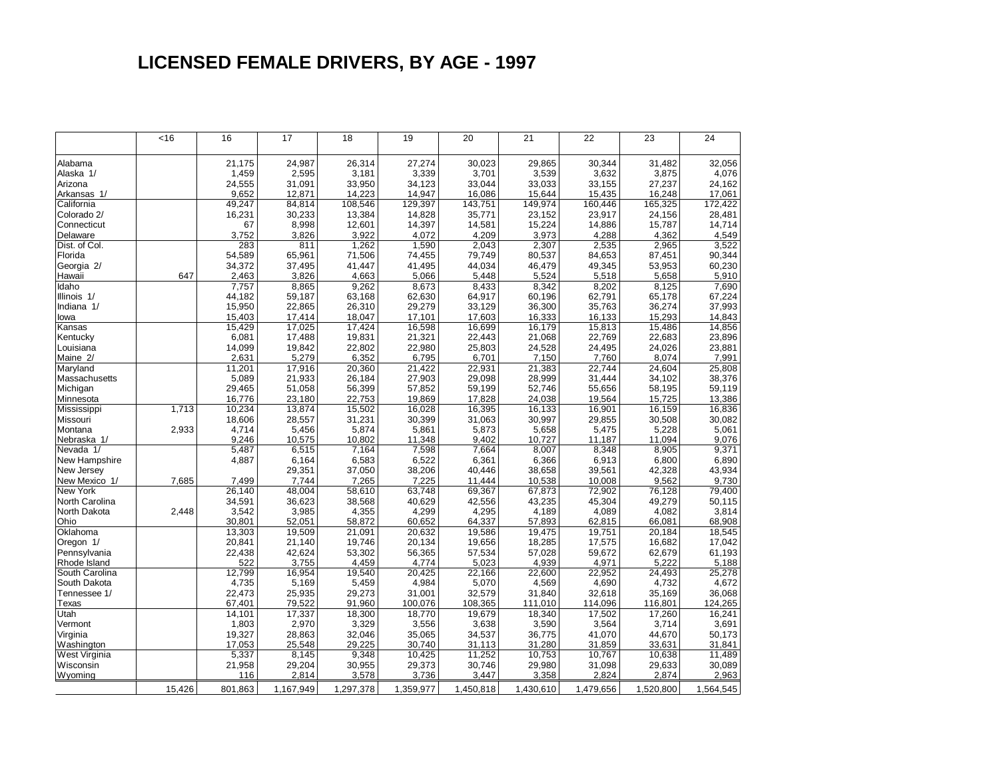## **LICENSED FEMALE DRIVERS, BY AGE - 1997**

|                | <16    | 16      | 17        | 18        | 19        | 20        | 21        | 22        | 23        | 24        |
|----------------|--------|---------|-----------|-----------|-----------|-----------|-----------|-----------|-----------|-----------|
|                |        |         |           |           |           |           |           |           |           |           |
| Alabama        |        | 21.175  | 24,987    | 26,314    | 27,274    | 30,023    | 29,865    | 30,344    | 31,482    | 32,056    |
| Alaska 1/      |        | 1,459   | 2,595     | 3,181     | 3,339     | 3,701     | 3,539     | 3,632     | 3,875     | 4,076     |
| Arizona        |        | 24,555  | 31,091    | 33,950    | 34.123    | 33,044    | 33,033    | 33,155    | 27,237    | 24,162    |
| Arkansas 1/    |        | 9,652   | 12,871    | 14,223    | 14,947    | 16,086    | 15,644    | 15,435    | 16,248    | 17,061    |
| California     |        | 49,247  | 84,814    | 108,546   | 129,397   | 143,751   | 149,974   | 160,446   | 165,325   | 172,422   |
| Colorado 2/    |        | 16,231  | 30,233    | 13,384    | 14,828    | 35,771    | 23,152    | 23,917    | 24,156    | 28,481    |
| Connecticut    |        | 67      | 8,998     | 12,601    | 14,397    | 14,581    | 15,224    | 14,886    | 15,787    | 14,714    |
| Delaware       |        | 3,752   | 3,826     | 3,922     | 4,072     | 4,209     | 3,973     | 4,288     | 4,362     | 4,549     |
| Dist. of Col.  |        | 283     | 811       | 1,262     | 1,590     | 2,043     | 2,307     | 2,535     | 2.965     | 3,522     |
| Florida        |        | 54.589  | 65,961    | 71,506    | 74,455    | 79,749    | 80,537    | 84,653    | 87,451    | 90,344    |
| Georgia 2/     |        | 34,372  | 37,495    | 41,447    | 41,495    | 44,034    | 46,479    | 49,345    | 53,953    | 60,230    |
| Hawaii         | 647    | 2,463   | 3,826     | 4,663     | 5.066     | 5,448     | 5,524     | 5,518     | 5,658     | 5,910     |
| Idaho          |        | 7,757   | 8,865     | 9,262     | 8,673     | 8,433     | 8,342     | 8,202     | 8,125     | 7,690     |
| Illinois 1/    |        | 44,182  | 59,187    | 63,168    | 62,630    | 64,917    | 60,196    | 62,791    | 65,178    | 67,224    |
| Indiana 1/     |        | 15,950  | 22,865    | 26,310    | 29,279    | 33,129    | 36,300    | 35,763    | 36,274    | 37,993    |
| lowa           |        | 15,403  | 17,414    | 18,047    | 17,101    | 17,603    | 16,333    | 16,133    | 15,293    | 14,843    |
| Kansas         |        | 15,429  | 17,025    | 17,424    | 16,598    | 16,699    | 16,179    | 15,813    | 15,486    | 14,856    |
| Kentucky       |        | 6,081   | 17,488    | 19,831    | 21,321    | 22,443    | 21,068    | 22,769    | 22,683    | 23,896    |
| Louisiana      |        | 14,099  | 19,842    | 22,802    | 22,980    | 25,803    | 24,528    | 24,495    | 24,026    | 23,881    |
| Maine 2/       |        | 2,631   | 5,279     | 6,352     | 6,795     | 6,701     | 7,150     | 7,760     | 8,074     | 7,991     |
| Maryland       |        | 11.201  | 17,916    | 20,360    | 21,422    | 22,931    | 21,383    | 22.744    | 24.604    | 25,808    |
| Massachusetts  |        | 5,089   | 21,933    | 26,184    | 27,903    | 29,098    | 28,999    | 31,444    | 34,102    | 38,376    |
| Michigan       |        | 29,465  | 51,058    | 56,399    | 57,852    | 59,199    | 52,746    | 55,656    | 58,195    | 59,119    |
| Minnesota      |        | 16.776  | 23,180    | 22,753    | 19,869    | 17,828    | 24,038    | 19,564    | 15,725    | 13,386    |
| Mississippi    | 1,713  | 10,234  | 13,874    | 15,502    | 16,028    | 16,395    | 16,133    | 16,901    | 16,159    | 16,836    |
| Missouri       |        | 18,606  | 28,557    | 31,231    | 30,399    | 31,063    | 30,997    | 29,855    | 30,508    | 30,082    |
| Montana        | 2,933  | 4,714   | 5,456     | 5,874     | 5,861     | 5,873     | 5,658     | 5,475     | 5,228     | 5,061     |
| Nebraska 1/    |        | 9,246   | 10,575    | 10,802    | 11,348    | 9,402     | 10,727    | 11,187    | 11,094    | 9,076     |
| Nevada 1/      |        | 5,487   | 6,515     | 7,164     | 7,598     | 7,664     | 8,007     | 8,348     | 8,905     | 9,371     |
| New Hampshire  |        | 4,887   | 6,164     | 6,583     | 6,522     | 6,361     | 6,366     | 6,913     | 6,800     | 6,890     |
| New Jersey     |        |         | 29,351    | 37,050    | 38,206    | 40,446    | 38,658    | 39,561    | 42,328    | 43,934    |
| New Mexico 1/  | 7,685  | 7.499   | 7,744     | 7,265     | 7.225     | 11,444    | 10,538    | 10.008    | 9,562     | 9,730     |
| New York       |        | 26,140  | 48,004    | 58,610    | 63,748    | 69,367    | 67,873    | 72,902    | 76,128    | 79,400    |
| North Carolina |        | 34,591  | 36,623    | 38,568    | 40,629    | 42,556    | 43,235    | 45,304    | 49,279    | 50,115    |
| North Dakota   | 2,448  | 3,542   | 3,985     | 4,355     | 4,299     | 4,295     | 4,189     | 4,089     | 4,082     | 3,814     |
| Ohio           |        | 30,801  | 52,051    | 58,872    | 60,652    | 64,337    | 57,893    | 62,815    | 66,081    | 68,908    |
| Oklahoma       |        | 13,303  | 19,509    | 21,091    | 20,632    | 19,586    | 19,475    | 19,751    | 20,184    | 18,545    |
| Oregon 1/      |        | 20,841  | 21,140    | 19,746    | 20,134    | 19,656    | 18,285    | 17,575    | 16,682    | 17,042    |
| Pennsylvania   |        | 22,438  | 42,624    | 53,302    | 56,365    | 57,534    | 57,028    | 59,672    | 62,679    | 61,193    |
| Rhode Island   |        | 522     | 3,755     | 4,459     | 4,774     | 5,023     | 4,939     | 4,971     | 5,222     | 5,188     |
| South Carolina |        | 12,799  | 16,954    | 19,540    | 20,425    | 22,166    | 22,600    | 22,952    | 24,493    | 25,278    |
| South Dakota   |        | 4,735   | 5,169     | 5,459     | 4,984     | 5,070     | 4,569     | 4,690     | 4,732     | 4,672     |
| Tennessee 1/   |        | 22,473  | 25,935    | 29,273    | 31,001    | 32,579    | 31,840    | 32,618    | 35,169    | 36,068    |
| Texas          |        | 67,401  | 79,522    | 91,960    | 100,076   | 108,365   | 111,010   | 114,096   | 116,801   | 124,265   |
| Utah           |        | 14,101  | 17,337    | 18,300    | 18,770    | 19,679    | 18,340    | 17,502    | 17,260    | 16,241    |
| Vermont        |        | 1,803   | 2,970     | 3,329     | 3,556     | 3,638     | 3,590     | 3,564     | 3,714     | 3,691     |
|                |        |         | 28,863    | 32,046    | 35,065    | 34,537    | 36,775    | 41,070    | 44,670    | 50,173    |
| Virginia       |        | 19,327  | 25,548    | 29,225    | 30,740    | 31,113    |           | 31,859    |           |           |
| Washington     |        | 17,053  |           |           |           |           | 31,280    |           | 33,631    | 31,841    |
| West Virginia  |        | 5,337   | 8,145     | 9,348     | 10,425    | 11,252    | 10,753    | 10,767    | 10,638    | 11,489    |
| Wisconsin      |        | 21,958  | 29,204    | 30,955    | 29,373    | 30,746    | 29,980    | 31,098    | 29,633    | 30,089    |
| Wyoming        |        | 116     | 2,814     | 3,578     | 3,736     | 3,447     | 3,358     | 2,824     | 2,874     | 2,963     |
|                | 15,426 | 801,863 | 1,167,949 | 1,297,378 | 1,359,977 | 1,450,818 | 1,430,610 | 1,479,656 | 1,520,800 | 1,564,545 |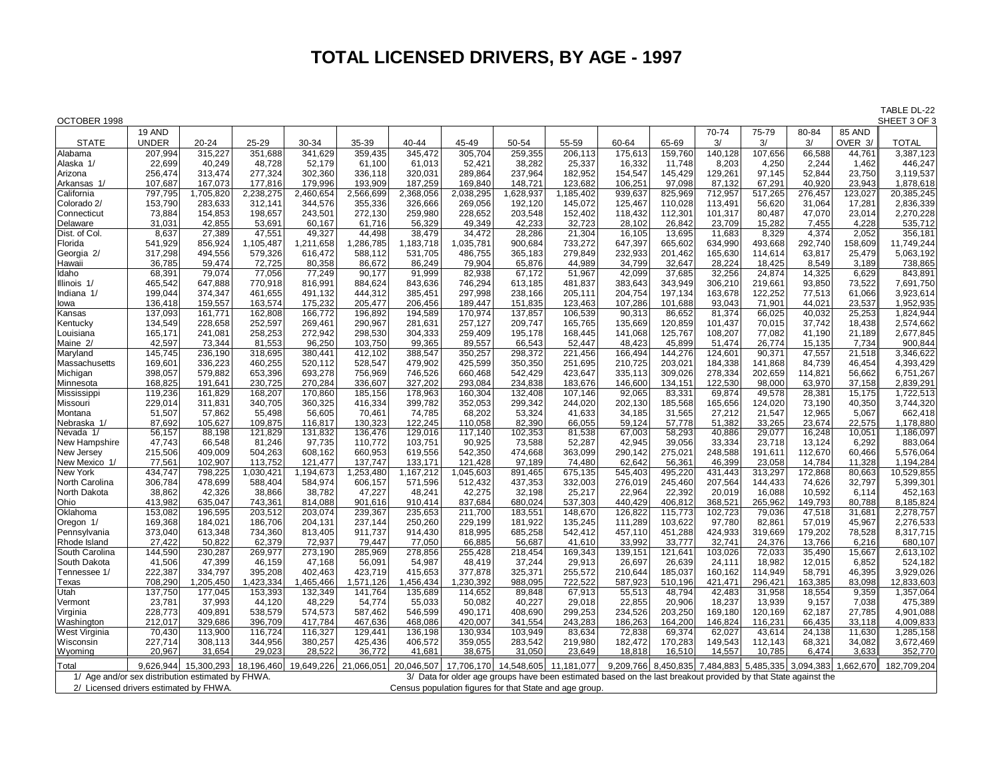## **TOTAL LICENSED DRIVERS, BY AGE - 1997**

TABLE DL-22<br>SHEET 3 OF 3

| OCTOBER 1998                                      |                   |            |                   |                   |                       |                   |                   |                       |                                                                                                                |                   |                   |         |         |                                                   |           | SHEET 3 OF 3 |
|---------------------------------------------------|-------------------|------------|-------------------|-------------------|-----------------------|-------------------|-------------------|-----------------------|----------------------------------------------------------------------------------------------------------------|-------------------|-------------------|---------|---------|---------------------------------------------------|-----------|--------------|
|                                                   | 19 AND            |            |                   |                   |                       |                   |                   |                       |                                                                                                                |                   |                   | 70-74   | 75-79   | 80-84                                             | 85 AND    |              |
| <b>STATE</b>                                      | <b>UNDER</b>      | 20-24      | 25-29             | 30-34             | 35-39                 | 40-44             | 45-49             | 50-54                 | 55-59                                                                                                          | 60-64             | 65-69             | 3/      | 3/      | 3/                                                | OVER 3/   | <b>TOTAL</b> |
| Alabama                                           | 207,994           | 315,227    | 351,688           | 341.629           | 359,435               | 345,472           | 305,704           | 259,355               | 206,113                                                                                                        | 175,613           | 159,760           | 140,128 | 107,656 | 66,588                                            | 44,761    | 3,387,123    |
| Alaska 1/                                         | 22,699            | 40,249     | 48,728            | 52,179            | 61,100                | 61,013            | 52,421            | 38,282                | 25,337                                                                                                         | 16,332            | 11,748            | 8,203   | 4,250   | 2,244                                             | 1,462     | 446,247      |
| Arizona                                           | 256,474           | 313,474    | 277,324           | 302,360           | 336,118               | 320,031           | 289,864           | 237,964               | 182,952                                                                                                        | 154,547           | 145,429           | 129,261 | 97,145  | 52,844                                            | 23,750    | 3,119,537    |
| Arkansas 1/                                       | 107,687           | 167.073    | 177,816           | 179.996           | 193,909               | 187.259           | 169.840           | 148.721               | 123.682                                                                                                        | 106,251           | 97.098            | 87,132  | 67.291  | 40.920                                            | 23.943    | 1,878,618    |
| California                                        | 797,795           | ,705,820   | 2,238,275         | 2,460,654         | 2,566,699             | 2,368,056         | 2,038,295         | 1,628,937             | 1,185,402                                                                                                      | 939,637           | 825,969           | 712,957 | 517,265 | 276,457                                           | 123,027   | 20,385,245   |
| Colorado 2/                                       | 153,790           | 283,633    | 312,141           | 344,576           | 355,336               | 326,666           | 269,056           | 192,120               | 145,072                                                                                                        | 125,467           | 110,028           | 113,491 | 56,620  | 31,064                                            | 17,281    | 2,836,339    |
| Connecticut                                       | 73,884            | 154,853    | 198,657           | 243,501           | 272,130               | 259,980           | 228,652           | 203,548               | 152,402                                                                                                        | 118,432           | 112,301           | 101,317 | 80,487  | 47,070                                            | 23,014    | 2,270,228    |
| Delaware                                          | 31,031            | 42,855     | 53,691            | 60,167            | 61,716                | 56,329            | 49,349            | 42,233                | 32,723                                                                                                         | 28,102            | 26,842            | 23,709  | 15,282  | 7,455                                             | 4,228     | 535,712      |
| Dist. of Col.                                     | 8,637             | 27,389     | 47,551            | 49,327            | 44,498                | 38,479            | 34,472            | 28,286                | 21,304                                                                                                         | 16,105            | 13,695            | 11,683  | 8,329   | 4,374                                             | 2,052     | 356,181      |
| Florida                                           | 541,929           | 856,924    | ,105,487<br>1     | 1,211,658         | 1,286,785             | 1,183,718         | 1,035,781         | 900,684               | 733,272                                                                                                        | 647,397           | 665,602           | 634,990 | 493,668 | 292,740                                           | 158,609   | 11,749,244   |
| Georgia 2/                                        | 317,298           | 494,556    | 579,326           | 616,472           | 588,112               | 531,705           | 486,755           | 365,183               | 279,849                                                                                                        | 232,933           | 201,462           | 165,630 | 114,614 | 63,817                                            | 25,479    | 5,063,192    |
| Hawaii                                            | 36,785            | 59,474     | 72,725            | 80,358            | 86,672                | 86,249            | 79,904            | 65,876                | 44,989                                                                                                         | 34,799            | 32,647            | 28,224  | 18,425  | 8,549                                             | 3,189     | 738,865      |
| Idaho                                             | 68,391            | 79,074     | 77,056            | 77,249            | 90,177                | 91,999            | 82,938            | 67,172                | 51,967                                                                                                         | 42,099            | 37,685            | 32,256  | 24,874  | 14,325                                            | 6,629     | 843,891      |
| Illinois 1/                                       | 465,542           | 647,888    | 770,918           | 816,991           | 884,624               | 843,636           | 746,294           | 613,185               | 481,837                                                                                                        | 383,643           | 343,949           | 306,210 | 219,661 | 93,850                                            | 73,522    | 7,691,750    |
| Indiana 1/                                        | 199,044           | 374,347    | 461,655           | 491,132           | 444,312               | 385,451           | 297,998           | 238,166               | 205,111                                                                                                        | 204,754           | 197,134           | 163,678 | 122,252 | 77,513                                            | 61,066    | 3,923,614    |
| lowa                                              | 136,418           | 159,557    | 163,574           | 175,232           | 205,477               | 206,456           | 189,447           | 151,835               | 123,463                                                                                                        | 107,286           | 101,688           | 93,043  | 71,901  | 44,021                                            | 23,537    | 1,952,935    |
| Kansas                                            | 137,093           | 161,771    | 162,808           | 166,772           | 196,892               | 194,589           | 170,974           | 137,857               | 106,539                                                                                                        | 90,313            | 86,652            | 81,374  | 66,025  | 40.032                                            | 25,253    | 1,824,944    |
| Kentucky                                          | 134,549           | 228,658    | 252,597           | 269,461           | 290,967               | 281,631           | 257,127           | 209,747               | 165,765                                                                                                        | 135,669           | 120,859           | 101,437 | 70,015  | 37,742                                            | 18,438    | 2,574,662    |
| Louisiana                                         | 165,171           | 241,081    | 258,253           | 272,942           | 298,530               | 304,333           | 259,409           | 195,178               | 168,445                                                                                                        | 141,068           | 125,767           | 108,207 | 77,082  | 41,190                                            | 21,189    | 2,677,845    |
| Maine 2/                                          | 42,597            | 73,344     | 81,553            | 96,250            | 103,750               | 99,365            | 89,557            | 66,543                | 52,447                                                                                                         | 48,423            | 45,899            | 51,474  | 26,774  | 15,135                                            | 7,734     | 900,844      |
| Maryland                                          | 145,745           | 236,190    | 318,695           | 380,441           | 412,102               | 388,547           | 350,257           | 298,372               | 221,456                                                                                                        | 166,494           | 144,276           | 124,601 | 90,371  | 47,557                                            | 21,518    | 3,346,622    |
| Massachusetts                                     | 169,601           | 336,223    | 460,255           | 520,112           | 528,547               | 479,902           | 425,599           | 350,350               | 251,695                                                                                                        | 210,725           | 203,021           | 184,338 | 141,868 | 84,739                                            | 46,454    | 4,393,429    |
| Michigan                                          | 398,057           | 579,882    | 653,396           | 693,278           | 756,969               | 746,526           | 660,468           | 542,429               | 423,647                                                                                                        | 335,113           | 309,026           | 278,334 | 202,659 | 114,821                                           | 56,662    | 6,751,267    |
| Minnesota                                         | 168,825           | 191,641    | 230,725           | 270,284           | 336,607               | 327,202           | 293,084           | 234,838               | 183,676                                                                                                        | 146,600           | 134,151           | 122,530 | 98,000  | 63,970                                            | 37,158    | 2,839,291    |
| Mississippi                                       | 119,236           | 161,829    | 168,207           | 170,860           | 185,156               | 178,963           | 160,304           | 132,408               | 107,146                                                                                                        | 92,065            | 83,331            | 69,874  | 49,578  | 28,381                                            | 15,175    | 1,722,513    |
| Missouri                                          | 229,014           | 311,831    | 340,705           | 360,325           | 416,334               | 399,782           | 352,053           | 299,342               | 244,020                                                                                                        | 202,130           | 185,568           | 165,656 | 124,020 | 73,190                                            | 40,350    | 3,744,320    |
| Montana                                           | 51,507            | 57,862     | 55,498            | 56,605            | 70,461                | 74,785            | 68,202            | 53,324                | 41,633                                                                                                         | 34,185            | 31,565            | 27,212  | 21,547  | 12,965                                            | 5,067     | 662,418      |
| Nebraska 1/                                       | 87,692            | 105,627    | 109,875           | 116,817           | 130,323               | 122,245           | 110,058           | 82,390                | 66,055                                                                                                         | 59,124            | 57,778            | 51,382  | 33,265  | 23,674                                            | 22,575    | 1,178,880    |
| Nevada 1/                                         | 56,157            | 88,198     | 121,829           | 131,832           | 136,476               | 129,016           | 117,140           | 102,353               | 81,538                                                                                                         | 67,003            | 58,293            | 40,886  | 29,077  | 16,248                                            | 10,051    | 1,186,097    |
| New Hampshire                                     | 47,743            | 66,548     | 81,246            | 97,735            | 110,772               | 103,751           | 90,925            | 73,588                | 52,287                                                                                                         | 42,945            | 39,056            | 33,334  | 23,718  | 13,124                                            | 6,292     | 883,064      |
| New Jersey                                        | 215,506           | 409,009    | 504,263           | 608,162           | 660,953               | 619,556           | 542,350           | 474,668               | 363,099                                                                                                        | 290,142           | 275,021           | 248,588 | 191,611 | 112,670                                           | 60,466    | 5,576,064    |
| New Mexico 1/                                     | 77,561            | 102,907    | 113,752           | 121,477           | 137,747               | 133,171           | 121,428           | 97,189                | 74,480                                                                                                         | 62,642            | 56,361            | 46,399  | 23,058  | 14,784                                            | 11,328    | 1,194,284    |
| New York                                          | 434,747           | 798,225    | ,030,421          | 1,194,673         | 1,253,480             | 1,167,212         | 1,045,603         | 891,465               | 675,135                                                                                                        | 545,403           | 495,220           | 431,443 | 313,297 | 172,868                                           | 80,663    | 10,529,855   |
| North Carolina                                    | 306,784           | 478,699    | 588,404           | 584,974           | 606,157               | 571,596           | 512,432           | 437,353               | 332,003                                                                                                        | 276,019           | 245,460           | 207,564 | 144,433 | 74,626                                            | 32,797    | 5,399,301    |
| North Dakota                                      | 38,862            | 42,326     | 38,866            | 38,782            | 47,227                | 48,241            | 42,275            | 32,198                | 25,217                                                                                                         | 22,964            | 22,392            | 20,019  | 16,088  | 10,592                                            | 6,114     | 452,163      |
| Ohio                                              | 413,982           | 635,047    | 743,361           | 814,088           | 901,616               | 910,414           | 837,684           | 680,024               | 537,303                                                                                                        | 440,429           | 406,812           | 368,521 | 265,962 | 149,793                                           | 80,788    | 8,185,824    |
| Oklahoma                                          | 153,082           | 196,595    | 203,512           | 203,074           | 239,367               | 235,653           | 211,700           | 183,551               | 148,670                                                                                                        | 126,822           | 115,773           | 102,723 | 79,036  | 47,518                                            | 31,681    | 2,278,757    |
| Oregon 1/                                         | 169,368           | 184,021    | 186,706           | 204,131           | 237,144               | 250,260           | 229,199           | 181,922               | 135,245                                                                                                        | 111,289           | 103,622           | 97,780  | 82,861  | 57,019                                            | 45,967    | 2,276,533    |
| Pennsylvania                                      | 373,040           | 613,348    | 734,360           | 813,405           | 911,737               | 914,430           | 818,995           | 685,258               | 542,412                                                                                                        | 457,110           | 451,288           | 424,933 | 319,669 | 179,202                                           | 78,528    | 8,317,715    |
| Rhode Island                                      | 27,422            | 50,822     | 62,379            | 72,937            | 79,447                | 77,050            | 66,885            | 56,687                | 41,610                                                                                                         | 33,992            | 33,777            | 32,741  | 24,376  | 13,766                                            | 6,216     | 680,107      |
| South Carolina                                    | 144,590           | 230,287    | 269,977           | 273,190           | 285,969               | 278,856           | 255,428           | 218,454               | 169,343                                                                                                        | 139,151           | 121,641           | 103,026 | 72,033  | 35,490                                            | 15,667    | 2,613,102    |
| South Dakota                                      | 41,506            | 47,399     | 46,159            | 47,168            | 56,091                | 54,987            | 48.419            | 37,244                | 29,913                                                                                                         | 26,697            | 26,639            | 24,111  | 18.982  | 12,015                                            | 6,852     | 524,182      |
| Tennessee 1/                                      | 222,387           | 334,797    | 395,208           | 402,463           | 423,719               | 415,653           | 377,878           | 325,371               | 255,572                                                                                                        | 210,644           | 185,037           | 160,162 | 114,949 | 58,791                                            | 46,395    | 3,929,026    |
| Texas                                             | 708,290           | ,205,450   | ,423,334          | 1,465,466         | 1,571,126             | 1,456,434         | 1,230,392         | 988,095               | 722,522                                                                                                        | 587,923           | 510,196           | 421,471 | 296,421 | 163,385                                           | 83,098    | 12,833,603   |
| Utah                                              | 137,750           | 177,045    | 153,393           | 132,349           | 141,764               | 135,689           | 114,652           | 89,848                | 67,913                                                                                                         | 55,513            | 48,794            | 42,483  | 31,958  | 18,554                                            | 9,359     | 1,357,064    |
| Vermont                                           | 23,781            | 37,993     | 44,120            | 48,229            | 54,774                | 55,033            | 50,082            | 40,227                | 29,018                                                                                                         | 22,855            | 20,906            | 18,237  | 13,939  | 9,157                                             | 7,038     | 475,389      |
|                                                   | 228,773           | 409,891    | 538,579           | 574,573           | 587,462               | 546,599           | 490.171           | 408,690               | 299,253                                                                                                        | 234,526           | 203,250           | 169.180 | 120,169 | 62,187                                            | 27,785    | 4,901,088    |
| Virginia                                          | 212,017           | 329,686    | 396,709           | 417,784           | 467,636               | 468,086           | 420,007           | 341,554               | 243,283                                                                                                        | 186,263           | 164,200           | 146,824 | 116,231 | 66,435                                            | 33,118    | 4,009,833    |
| Washington                                        | 70,430            | 113,900    | 116,724           | 116,327           |                       | 136,198           | 130,934           | 103,949               | 83,634                                                                                                         | 72,838            | 69,374            | 62,027  | 43,614  | 24,138                                            | 11,630    | 1,285,158    |
| West Virginia                                     |                   | 308,113    |                   |                   | 129,441               |                   |                   | 283,542               |                                                                                                                |                   |                   | 149,543 | 112,143 |                                                   |           | 3,672,469    |
| Wisconsin                                         | 227,714<br>20,967 | 31,654     | 344,956<br>29,023 | 380,257<br>28,522 | 425,436               | 406,572<br>41,681 | 359,055<br>38,675 | 31,050                | 219,980                                                                                                        | 182,472<br>18,818 | 170,283<br>16,510 | 14,557  | 10,785  | 68,321<br>6,474                                   | 34,082    |              |
| Wyoming                                           |                   |            |                   |                   | 36,772                |                   |                   |                       | 23,649                                                                                                         |                   |                   |         |         |                                                   | 3,633     | 352,770      |
| Total                                             | 9.626.944         | 15.300.293 | 18.196.460        |                   | 19,649,226 21,066,051 | 20.046.507        |                   | 17.706.170 14.548.605 | 11,181,077                                                                                                     |                   |                   |         |         | 9,209,766 8,450,835 7,484,883 5,485,335 3,094,383 | 1,662,670 | 182,709,204  |
| 1/ Age and/or sex distribution estimated by FHWA. |                   |            |                   |                   |                       |                   |                   |                       | 3/ Data for older age groups have been estimated based on the last breakout provided by that State against the |                   |                   |         |         |                                                   |           |              |
| 2/ Licensed drivers estimated by FHWA.            |                   |            |                   |                   |                       |                   |                   |                       | Census population figures for that State and age group.                                                        |                   |                   |         |         |                                                   |           |              |
|                                                   |                   |            |                   |                   |                       |                   |                   |                       |                                                                                                                |                   |                   |         |         |                                                   |           |              |